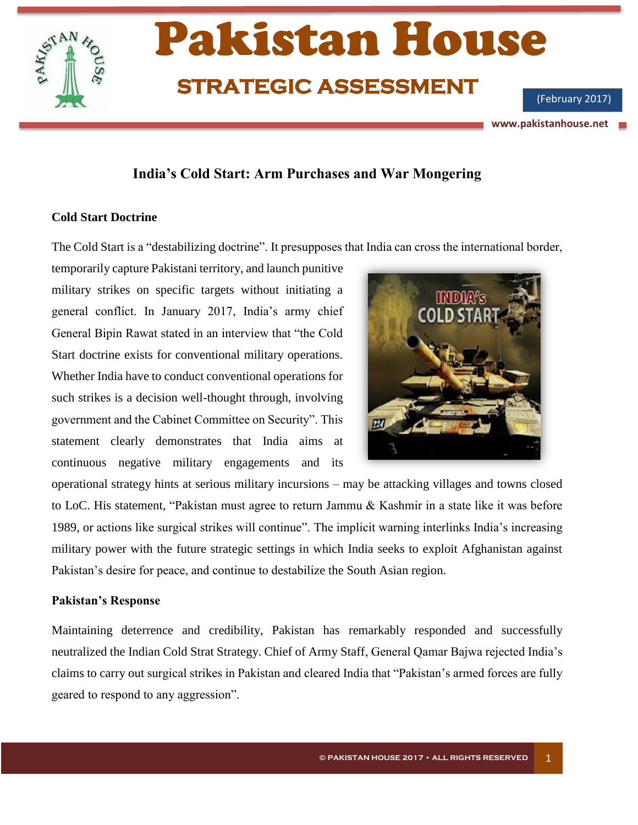

# **India's Cold Start: Arm Purchases and War Mongering**

#### **Cold Start Doctrine**

The Cold Start is a "destabilizing doctrine". It presupposes that India can cross the international border,

temporarily capture Pakistani territory, and launch punitive military strikes on specific targets without initiating a general conflict. In January 2017, India's army chief General Bipin Rawat stated in an interview that "the Cold Start doctrine exists for conventional military operations. Whether India have to conduct conventional operations for such strikes is a decision well-thought through, involving government and the Cabinet Committee on Security". This statement clearly demonstrates that India aims at continuous negative military engagements and its



operational strategy hints at serious military incursions – may be attacking villages and towns closed to LoC. His statement, "Pakistan must agree to return Jammu & Kashmir in a state like it was before 1989, or actions like surgical strikes will continue". The implicit warning interlinks India's increasing military power with the future strategic settings in which India seeks to exploit Afghanistan against Pakistan's desire for peace, and continue to destabilize the South Asian region.

#### **Pakistan's Response**

Maintaining deterrence and credibility, Pakistan has remarkably responded and successfully neutralized the Indian Cold Strat Strategy. Chief of Army Staff, General Qamar Bajwa rejected India's claims to carry out surgical strikes in Pakistan and cleared India that "Pakistan's armed forces are fully geared to respond to any aggression".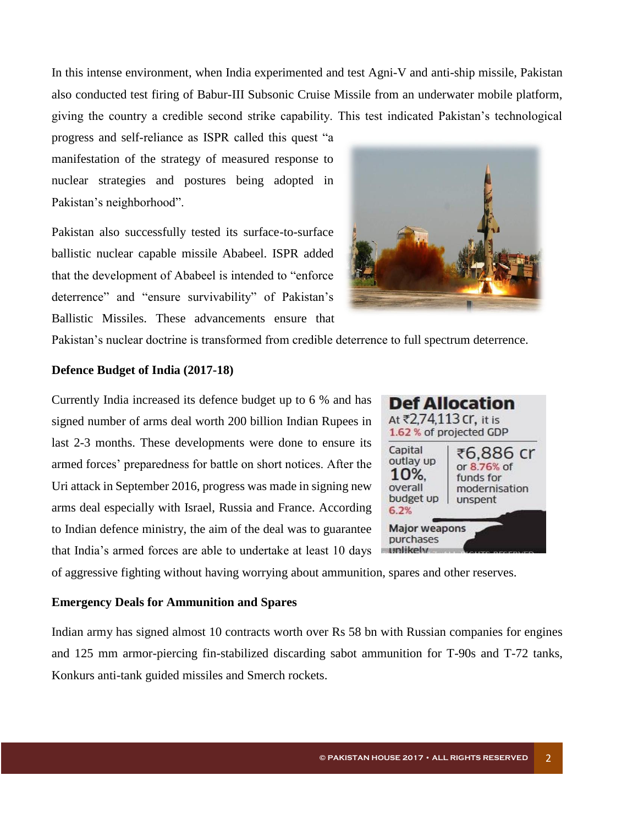In this intense environment, when India experimented and test Agni-V and anti-ship missile, Pakistan also conducted test firing of Babur-III Subsonic Cruise Missile from an underwater mobile platform, giving the country a credible second strike capability. This test indicated Pakistan's technological

progress and self-reliance as ISPR called this quest "a manifestation of the strategy of measured response to nuclear strategies and postures being adopted in Pakistan's neighborhood".

Pakistan also successfully tested its surface-to-surface ballistic nuclear capable missile Ababeel. ISPR added that the development of Ababeel is intended to "enforce deterrence" and "ensure survivability" of Pakistan's Ballistic Missiles. These advancements ensure that



Pakistan's nuclear doctrine is transformed from credible deterrence to full spectrum deterrence.

#### **Defence Budget of India (2017-18)**

Currently India increased its defence budget up to 6 % and has signed number of arms deal worth 200 billion Indian Rupees in last 2-3 months. These developments were done to ensure its armed forces' preparedness for battle on short notices. After the Uri attack in September 2016, progress was made in signing new arms deal especially with Israel, Russia and France. According to Indian defence ministry, the aim of the deal was to guarantee that India's armed forces are able to undertake at least 10 days



of aggressive fighting without having worrying about ammunition, spares and other reserves.

## **Emergency Deals for Ammunition and Spares**

Indian army has signed almost 10 contracts worth over Rs 58 bn with Russian companies for engines and 125 mm armor-piercing fin-stabilized discarding sabot ammunition for T-90s and T-72 tanks, Konkurs anti-tank guided missiles and Smerch rockets.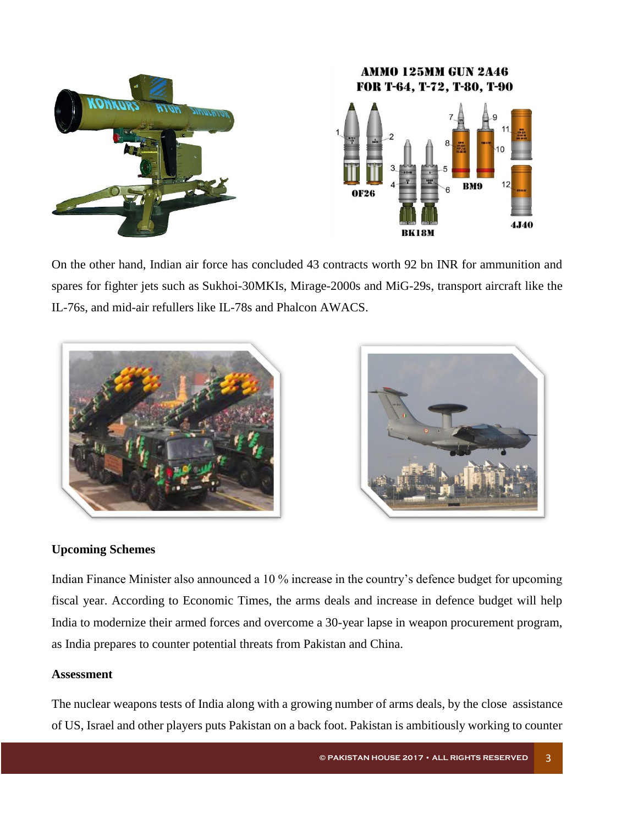

On the other hand, Indian air force has concluded 43 contracts worth 92 bn INR for ammunition and spares for fighter jets such as Sukhoi-30MKIs, Mirage-2000s and MiG-29s, transport aircraft like the IL-76s, and mid-air refullers like IL-78s and Phalcon AWACS.



# **Upcoming Schemes**

Indian Finance Minister also announced a 10 % increase in the country's defence budget for upcoming fiscal year. According to Economic Times, the arms deals and increase in defence budget will help India to modernize their armed forces and overcome a 30-year lapse in weapon procurement program, as India prepares to counter potential threats from Pakistan and China.

## **Assessment**

The nuclear weapons tests of India along with a growing number of arms deals, by the close assistance of US, Israel and other players puts Pakistan on a back foot. Pakistan is ambitiously working to counter